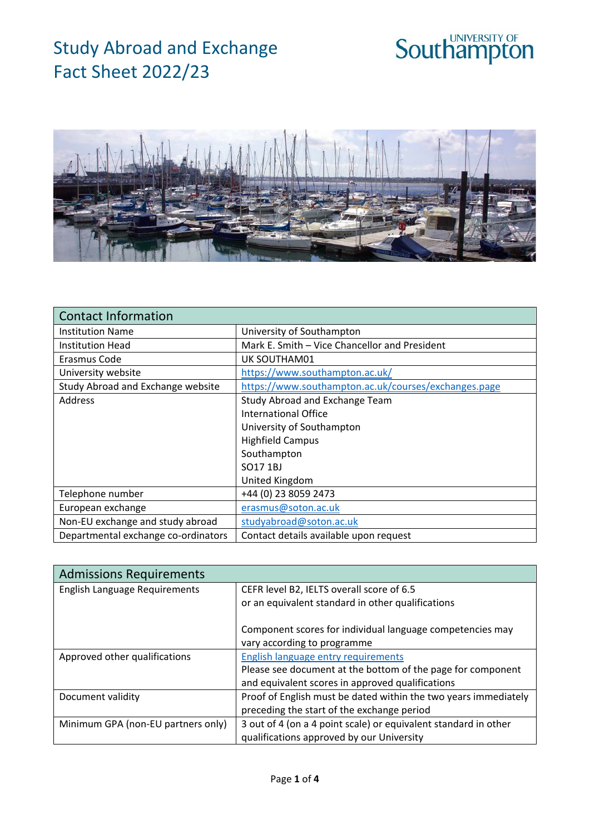



| <b>Contact Information</b>          |                                                      |
|-------------------------------------|------------------------------------------------------|
| <b>Institution Name</b>             | University of Southampton                            |
| <b>Institution Head</b>             | Mark E. Smith - Vice Chancellor and President        |
| Erasmus Code                        | UK SOUTHAM01                                         |
| University website                  | https://www.southampton.ac.uk/                       |
| Study Abroad and Exchange website   | https://www.southampton.ac.uk/courses/exchanges.page |
| <b>Address</b>                      | Study Abroad and Exchange Team                       |
|                                     | International Office                                 |
|                                     | University of Southampton                            |
|                                     | <b>Highfield Campus</b>                              |
|                                     | Southampton                                          |
|                                     | SO17 1BJ                                             |
|                                     | United Kingdom                                       |
| Telephone number                    | +44 (0) 23 8059 2473                                 |
| European exchange                   | erasmus@soton.ac.uk                                  |
| Non-EU exchange and study abroad    | studyabroad@soton.ac.uk                              |
| Departmental exchange co-ordinators | Contact details available upon request               |

| <b>Admissions Requirements</b>       |                                                                 |
|--------------------------------------|-----------------------------------------------------------------|
| <b>English Language Requirements</b> | CEFR level B2, IELTS overall score of 6.5                       |
|                                      | or an equivalent standard in other qualifications               |
|                                      | Component scores for individual language competencies may       |
|                                      | vary according to programme                                     |
| Approved other qualifications        | English language entry requirements                             |
|                                      | Please see document at the bottom of the page for component     |
|                                      | and equivalent scores in approved qualifications                |
| Document validity                    | Proof of English must be dated within the two years immediately |
|                                      | preceding the start of the exchange period                      |
| Minimum GPA (non-EU partners only)   | 3 out of 4 (on a 4 point scale) or equivalent standard in other |
|                                      | qualifications approved by our University                       |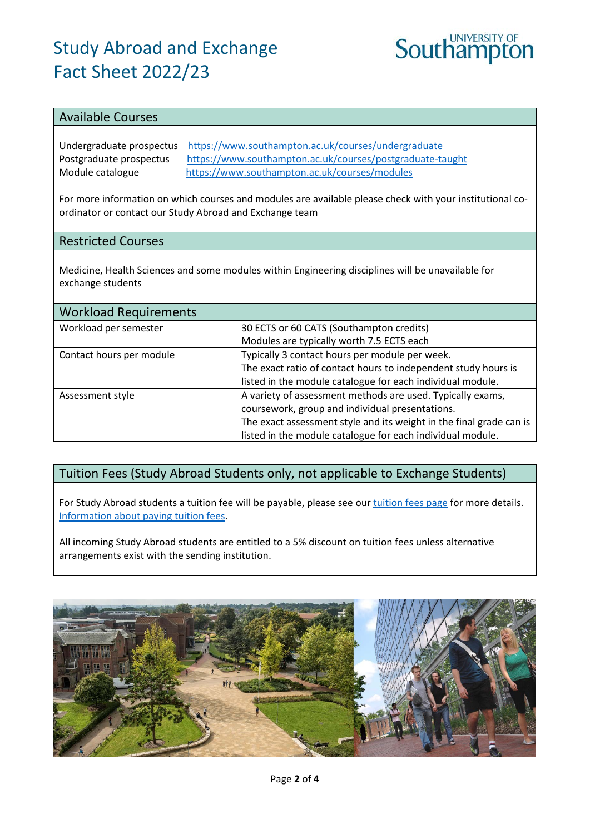

#### Available Courses

Undergraduate prospectus <https://www.southampton.ac.uk/courses/undergraduate> Postgraduate prospectus <https://www.southampton.ac.uk/courses/postgraduate-taught> Module catalogue <https://www.southampton.ac.uk/courses/modules>

For more information on which courses and modules are available please check with your institutional coordinator or contact our Study Abroad and Exchange team

#### Restricted Courses

Medicine, Health Sciences and some modules within Engineering disciplines will be unavailable for exchange students

| <b>Workload Requirements</b> |                                                                     |
|------------------------------|---------------------------------------------------------------------|
| Workload per semester        | 30 ECTS or 60 CATS (Southampton credits)                            |
|                              | Modules are typically worth 7.5 ECTS each                           |
| Contact hours per module     | Typically 3 contact hours per module per week.                      |
|                              | The exact ratio of contact hours to independent study hours is      |
|                              | listed in the module catalogue for each individual module.          |
| Assessment style             | A variety of assessment methods are used. Typically exams,          |
|                              | coursework, group and individual presentations.                     |
|                              | The exact assessment style and its weight in the final grade can is |
|                              | listed in the module catalogue for each individual module.          |

### Tuition Fees (Study Abroad Students only, not applicable to Exchange Students)

For Study Abroad students a tuition fee will be payable, please see our [tuition fees page](https://www.southampton.ac.uk/courses/fees.page) for more details. Information about [paying tuition fees.](https://www.southampton.ac.uk/courses/fees/pay.page)

All incoming Study Abroad students are entitled to a 5% discount on tuition fees unless alternative arrangements exist with the sending institution.

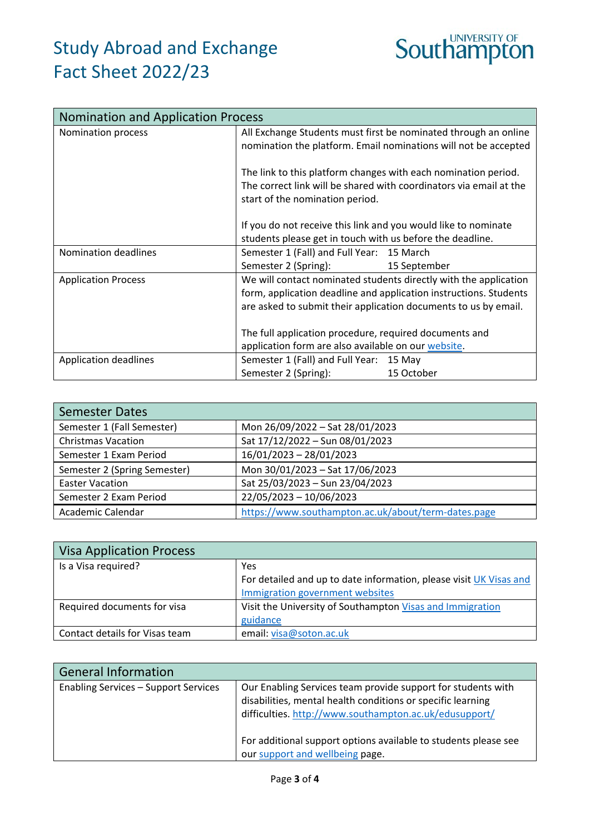

| <b>Nomination and Application Process</b> |                                                                                                                             |                                                                                                                                       |
|-------------------------------------------|-----------------------------------------------------------------------------------------------------------------------------|---------------------------------------------------------------------------------------------------------------------------------------|
| Nomination process                        |                                                                                                                             | All Exchange Students must first be nominated through an online<br>nomination the platform. Email nominations will not be accepted    |
|                                           | The link to this platform changes with each nomination period.<br>start of the nomination period.                           | The correct link will be shared with coordinators via email at the                                                                    |
|                                           | If you do not receive this link and you would like to nominate<br>students please get in touch with us before the deadline. |                                                                                                                                       |
| Nomination deadlines                      | Semester 1 (Fall) and Full Year: 15 March<br>Semester 2 (Spring):                                                           | 15 September                                                                                                                          |
| <b>Application Process</b>                | are asked to submit their application documents to us by email.                                                             | We will contact nominated students directly with the application<br>form, application deadline and application instructions. Students |
|                                           | The full application procedure, required documents and<br>application form are also available on our website.               |                                                                                                                                       |
| Application deadlines                     | Semester 1 (Fall) and Full Year: 15 May<br>Semester 2 (Spring):                                                             | 15 October                                                                                                                            |

| <b>Semester Dates</b>        |                                                     |
|------------------------------|-----------------------------------------------------|
| Semester 1 (Fall Semester)   | Mon 26/09/2022 - Sat 28/01/2023                     |
| <b>Christmas Vacation</b>    | Sat 17/12/2022 - Sun 08/01/2023                     |
| Semester 1 Exam Period       | 16/01/2023 - 28/01/2023                             |
| Semester 2 (Spring Semester) | Mon 30/01/2023 - Sat 17/06/2023                     |
| <b>Easter Vacation</b>       | Sat 25/03/2023 - Sun 23/04/2023                     |
| Semester 2 Exam Period       | 22/05/2023 - 10/06/2023                             |
| Academic Calendar            | https://www.southampton.ac.uk/about/term-dates.page |

| <b>Visa Application Process</b> |                                                                    |
|---------------------------------|--------------------------------------------------------------------|
| Is a Visa required?             | Yes                                                                |
|                                 | For detailed and up to date information, please visit UK Visas and |
|                                 | Immigration government websites                                    |
| Required documents for visa     | Visit the University of Southampton Visas and Immigration          |
|                                 | guidance                                                           |
| Contact details for Visas team  | email: visa@soton.ac.uk                                            |

| <b>General Information</b>                  |                                                                                                                                                                                       |
|---------------------------------------------|---------------------------------------------------------------------------------------------------------------------------------------------------------------------------------------|
| <b>Enabling Services - Support Services</b> | Our Enabling Services team provide support for students with<br>disabilities, mental health conditions or specific learning<br>difficulties. http://www.southampton.ac.uk/edusupport/ |
|                                             | For additional support options available to students please see<br>our support and wellbeing page.                                                                                    |